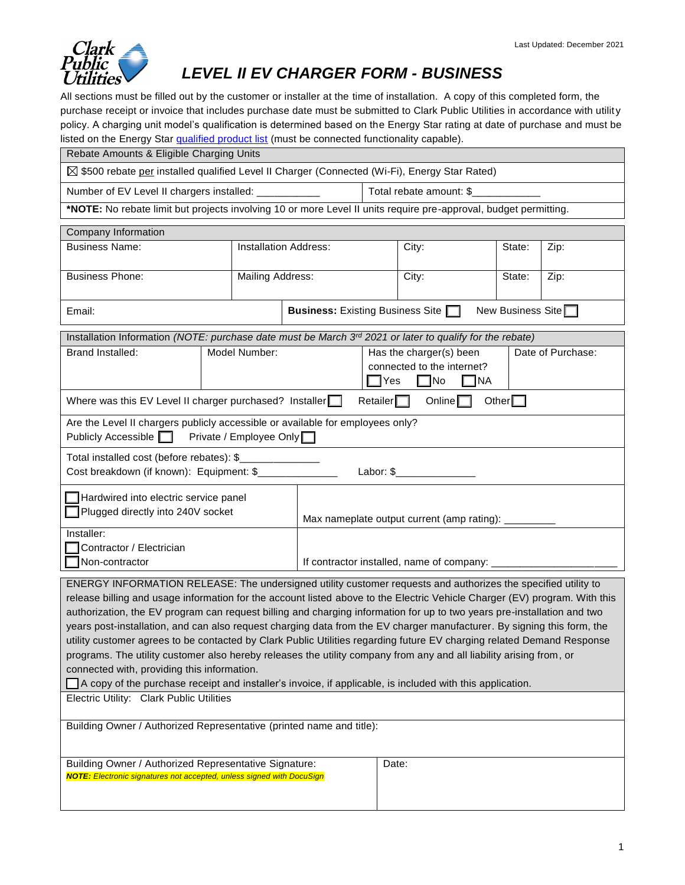

## *LEVEL II EV CHARGER FORM - BUSINESS*

All sections must be filled out by the customer or installer at the time of installation. A copy of this completed form, the purchase receipt or invoice that includes purchase date must be submitted to Clark Public Utilities in accordance with utility policy. A charging unit model's qualification is determined based on the Energy Star rating at date of purchase and must be listed on the Energy Star qualified product list (must be connected functionality capable).

| Rebate Amounts & Eligible Charging Units                                                                                                                                                                                                      |  |                                                                                               |                                                                       |                                                     |                                                                                                                    |        |      |  |  |
|-----------------------------------------------------------------------------------------------------------------------------------------------------------------------------------------------------------------------------------------------|--|-----------------------------------------------------------------------------------------------|-----------------------------------------------------------------------|-----------------------------------------------------|--------------------------------------------------------------------------------------------------------------------|--------|------|--|--|
| ⊠ \$500 rebate per installed qualified Level II Charger (Connected (Wi-Fi), Energy Star Rated)                                                                                                                                                |  |                                                                                               |                                                                       |                                                     |                                                                                                                    |        |      |  |  |
|                                                                                                                                                                                                                                               |  | Number of EV Level II chargers installed: ______________   Total rebate amount: \$___________ |                                                                       |                                                     |                                                                                                                    |        |      |  |  |
| *NOTE: No rebate limit but projects involving 10 or more Level II units require pre-approval, budget permitting.                                                                                                                              |  |                                                                                               |                                                                       |                                                     |                                                                                                                    |        |      |  |  |
| Company Information                                                                                                                                                                                                                           |  |                                                                                               |                                                                       |                                                     |                                                                                                                    |        |      |  |  |
| <b>Business Name:</b>                                                                                                                                                                                                                         |  | <b>Installation Address:</b>                                                                  |                                                                       |                                                     | City:                                                                                                              | State: | Zip: |  |  |
| <b>Business Phone:</b>                                                                                                                                                                                                                        |  | <b>Mailing Address:</b>                                                                       |                                                                       |                                                     | City:                                                                                                              | State: | Zip: |  |  |
| Email:                                                                                                                                                                                                                                        |  |                                                                                               | <b>Business:</b> Existing Business Site  <br>New Business Site $\Box$ |                                                     |                                                                                                                    |        |      |  |  |
| Installation Information (NOTE: purchase date must be March $3rd$ 2021 or later to qualify for the rebate)                                                                                                                                    |  |                                                                                               |                                                                       |                                                     |                                                                                                                    |        |      |  |  |
| Brand Installed:                                                                                                                                                                                                                              |  | Model Number:                                                                                 |                                                                       |                                                     | Date of Purchase:<br>Has the charger(s) been<br>connected to the internet?<br>$\Box$ Yes<br>$\Box$ No<br>$\Box$ NA |        |      |  |  |
| Online $\square$<br>Where was this EV Level II charger purchased? Installer<br>Retailer $\Box$<br>Other $\square$                                                                                                                             |  |                                                                                               |                                                                       |                                                     |                                                                                                                    |        |      |  |  |
| Are the Level II chargers publicly accessible or available for employees only?<br>Publicly Accessible   Private / Employee Only                                                                                                               |  |                                                                                               |                                                                       |                                                     |                                                                                                                    |        |      |  |  |
| Total installed cost (before rebates): \$<br><u> 1990 - Johann Barnett, fransk politik</u><br>Cost breakdown (if known): Equipment: \$<br>Labor: \$________________                                                                           |  |                                                                                               |                                                                       |                                                     |                                                                                                                    |        |      |  |  |
| Hardwired into electric service panel<br>Plugged directly into 240V socket                                                                                                                                                                    |  |                                                                                               |                                                                       | Max nameplate output current (amp rating): ________ |                                                                                                                    |        |      |  |  |
| Installer:<br>Contractor / Electrician<br>Non-contractor                                                                                                                                                                                      |  |                                                                                               |                                                                       | If contractor installed, name of company:           |                                                                                                                    |        |      |  |  |
| ENERGY INFORMATION RELEASE: The undersigned utility customer requests and authorizes the specified utility to                                                                                                                                 |  |                                                                                               |                                                                       |                                                     |                                                                                                                    |        |      |  |  |
| release billing and usage information for the account listed above to the Electric Vehicle Charger (EV) program. With this                                                                                                                    |  |                                                                                               |                                                                       |                                                     |                                                                                                                    |        |      |  |  |
| authorization, the EV program can request billing and charging information for up to two years pre-installation and two                                                                                                                       |  |                                                                                               |                                                                       |                                                     |                                                                                                                    |        |      |  |  |
| years post-installation, and can also request charging data from the EV charger manufacturer. By signing this form, the                                                                                                                       |  |                                                                                               |                                                                       |                                                     |                                                                                                                    |        |      |  |  |
| utility customer agrees to be contacted by Clark Public Utilities regarding future EV charging related Demand Response<br>programs. The utility customer also hereby releases the utility company from any and all liability arising from, or |  |                                                                                               |                                                                       |                                                     |                                                                                                                    |        |      |  |  |
| connected with, providing this information.                                                                                                                                                                                                   |  |                                                                                               |                                                                       |                                                     |                                                                                                                    |        |      |  |  |
| A copy of the purchase receipt and installer's invoice, if applicable, is included with this application.                                                                                                                                     |  |                                                                                               |                                                                       |                                                     |                                                                                                                    |        |      |  |  |
| Electric Utility: Clark Public Utilities                                                                                                                                                                                                      |  |                                                                                               |                                                                       |                                                     |                                                                                                                    |        |      |  |  |
| Building Owner / Authorized Representative (printed name and title):                                                                                                                                                                          |  |                                                                                               |                                                                       |                                                     |                                                                                                                    |        |      |  |  |
|                                                                                                                                                                                                                                               |  |                                                                                               |                                                                       |                                                     |                                                                                                                    |        |      |  |  |
| Building Owner / Authorized Representative Signature:<br><b>NOTE:</b> Electronic signatures not accepted, unless signed with DocuSign                                                                                                         |  | Date:                                                                                         |                                                                       |                                                     |                                                                                                                    |        |      |  |  |